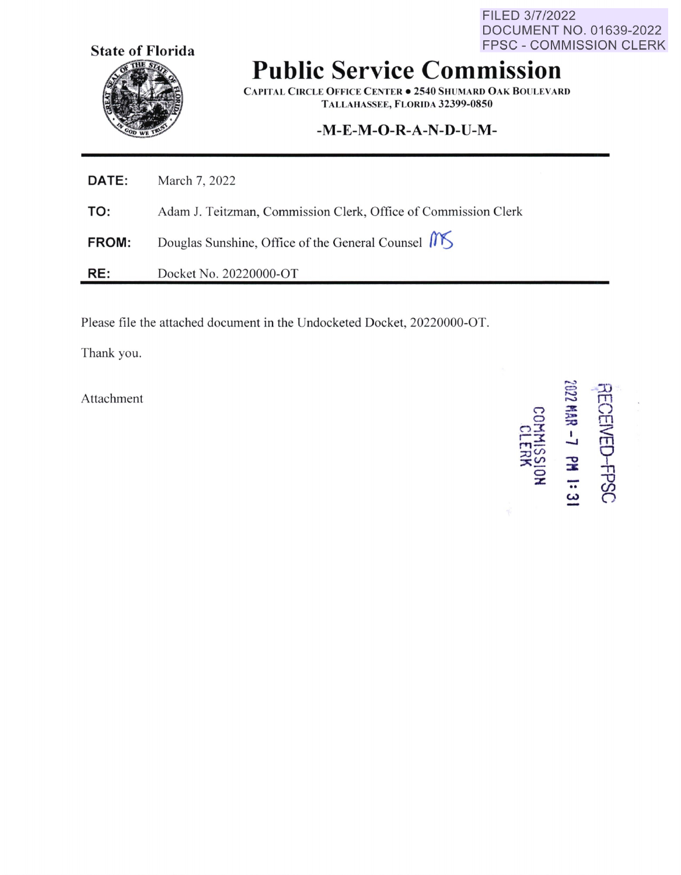**State of Florida** 

FILED 3/7/2022 DOCUMENT NO. 01639-2022 **FPSC - COMMISSION CLERK** 

## **Public Service Commission**

**CAPITAL CIRCLE OFFICE CENTER . 2540 SHUMARD OAK BOULEVARD** TALLAHASSEE, FLORIDA 32399-0850

## -M-E-M-O-R-A-N-D-U-M-

| <b>DATE:</b> | March 7, 2022                                                  |
|--------------|----------------------------------------------------------------|
| TO:          | Adam J. Teitzman, Commission Clerk, Office of Commission Clerk |
| <b>FROM:</b> | Douglas Sunshine, Office of the General Counsel M              |
| RE:          | Docket No. 20220000-OT                                         |

Please file the attached document in the Undocketed Docket, 20220000-OT.

Thank you.

Attachment

2022 MAR - 7 PM 1:31 **RECEIVED-FPSC KIMISS**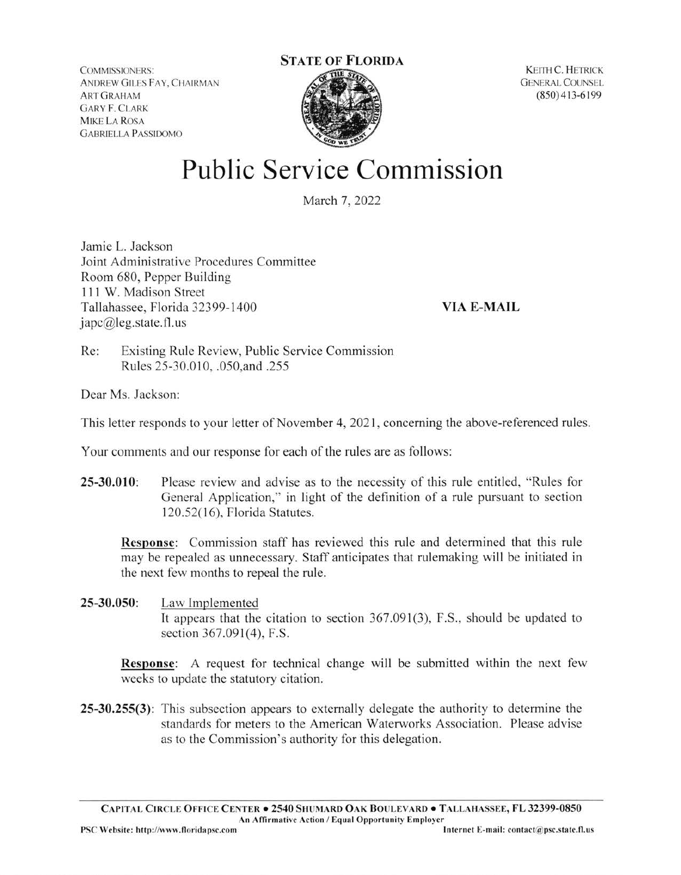COMMISSIONERS: ANDREW GILES FAY, CHAIRMAN ART GRAHAM **GARY F. CLARK** MIKE LA ROSA GABRIELLA PASSIOOMO

## **STATE OF FLORIDA**



KEITH C. HETRICK GENERAL COUNSEL (850) 413-6 199

## **Public Service Commission**

March 7, 2022

Jamie L. Jackson Joint Administrative Procedures Committee Room 680, Pepper Building 111 W. Madison Street Tallahassee, Florida 32399-1400 japc@leg.state.fl.us

**VIA E-MAIL** 

Re: Existing Rule Review, Public Service Commission Rules 25-30.010, .050, and .255

Dear Ms. Jackson:

This letter responds to your letter of November 4, 2021, concerning the above-referenced rules.

Your comments and our response for each of the rules are as follows:

**25-30.010:** Please review and advise as to the necessity of this rule entitled, "Rules for General Application," in light of the definition of a rule pursuant to section 120.52( 16), Florida Statutes.

**Response:** Commission staff has reviewed this rule and determined that this rule may be repealed as unnecessary. Staff anticipates that rulemaking will be initiated in the next few months to repeal the rule.

**25-30.050:** Law Implemented It appears that the citation to section  $367.091(3)$ , F.S., should be updated to section 367.091(4), F.S.

**Response:** A request for technical change will be submitted within the next few weeks to update the statutory citation.

**25-30.255(3):** This subsection appears to externally delegate the authority to determine the standards for meters to the American Waterworks Association. Please advise as to the Commission's authority for this delegation.